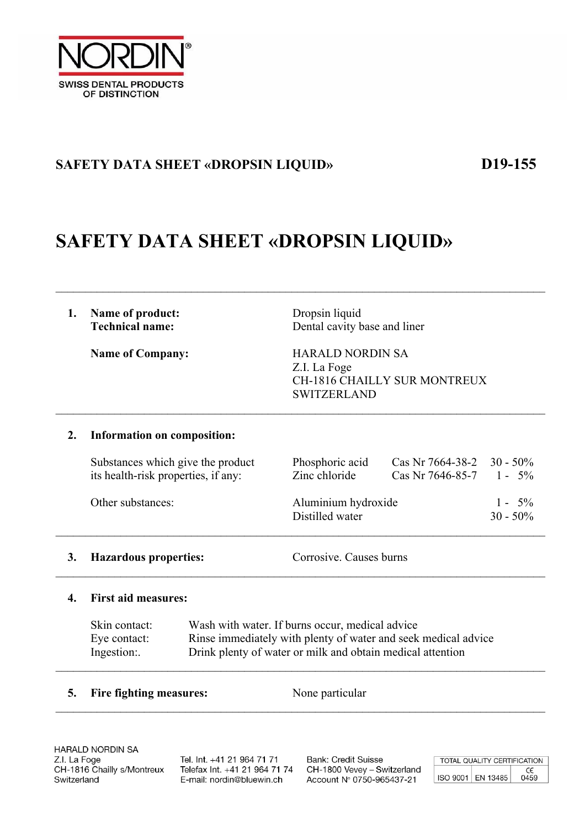

### **SAFETY DATA SHEET «DROPSIN LIQUID» D19-155**

## **SAFETY DATA SHEET «DROPSIN LIQUID»**

# **1.** Name of product: Dropsin liquid

**Technical name:** Dental cavity base and liner

Name of Company: **HARALD NORDIN SA** Z.I. La Foge CH-1816 CHAILLY SUR MONTREUX SWITZERLAND

#### **2. Information on composition:**

| Substances which give the product   | Phosphoric acid                        | Cas Nr 7664-38-2 $30 - 50\%$ |                          |
|-------------------------------------|----------------------------------------|------------------------------|--------------------------|
| its health-risk properties, if any: | Zinc chloride                          | Cas Nr 7646-85-7 $1 - 5\%$   |                          |
| Other substances:                   | Aluminium hydroxide<br>Distilled water |                              | $1 - 5\%$<br>$30 - 50\%$ |

 $\mathcal{L}_\mathcal{L} = \{ \mathcal{L}_\mathcal{L} = \{ \mathcal{L}_\mathcal{L} = \{ \mathcal{L}_\mathcal{L} = \{ \mathcal{L}_\mathcal{L} = \{ \mathcal{L}_\mathcal{L} = \{ \mathcal{L}_\mathcal{L} = \{ \mathcal{L}_\mathcal{L} = \{ \mathcal{L}_\mathcal{L} = \{ \mathcal{L}_\mathcal{L} = \{ \mathcal{L}_\mathcal{L} = \{ \mathcal{L}_\mathcal{L} = \{ \mathcal{L}_\mathcal{L} = \{ \mathcal{L}_\mathcal{L} = \{ \mathcal{L}_\mathcal{$ 

 $\mathcal{L}_\mathcal{L} = \{ \mathcal{L}_\mathcal{L} = \{ \mathcal{L}_\mathcal{L} = \{ \mathcal{L}_\mathcal{L} = \{ \mathcal{L}_\mathcal{L} = \{ \mathcal{L}_\mathcal{L} = \{ \mathcal{L}_\mathcal{L} = \{ \mathcal{L}_\mathcal{L} = \{ \mathcal{L}_\mathcal{L} = \{ \mathcal{L}_\mathcal{L} = \{ \mathcal{L}_\mathcal{L} = \{ \mathcal{L}_\mathcal{L} = \{ \mathcal{L}_\mathcal{L} = \{ \mathcal{L}_\mathcal{L} = \{ \mathcal{L}_\mathcal{$ 

#### **3. Hazardous properties:** Corrosive. Causes burns

 $\mathcal{L}_\mathcal{L} = \{ \mathcal{L}_\mathcal{L} = \{ \mathcal{L}_\mathcal{L} = \{ \mathcal{L}_\mathcal{L} = \{ \mathcal{L}_\mathcal{L} = \{ \mathcal{L}_\mathcal{L} = \{ \mathcal{L}_\mathcal{L} = \{ \mathcal{L}_\mathcal{L} = \{ \mathcal{L}_\mathcal{L} = \{ \mathcal{L}_\mathcal{L} = \{ \mathcal{L}_\mathcal{L} = \{ \mathcal{L}_\mathcal{L} = \{ \mathcal{L}_\mathcal{L} = \{ \mathcal{L}_\mathcal{L} = \{ \mathcal{L}_\mathcal{$ 

#### **4. First aid measures:**

|            | Skin contact: | Wash with water. If burns occur, medical advice                |
|------------|---------------|----------------------------------------------------------------|
|            | Eye contact:  | Rinse immediately with plenty of water and seek medical advice |
| Ingestion: |               | Drink plenty of water or milk and obtain medical attention     |
|            |               |                                                                |

 $\mathcal{L}_\mathcal{L} = \{ \mathcal{L}_\mathcal{L} = \{ \mathcal{L}_\mathcal{L} = \{ \mathcal{L}_\mathcal{L} = \{ \mathcal{L}_\mathcal{L} = \{ \mathcal{L}_\mathcal{L} = \{ \mathcal{L}_\mathcal{L} = \{ \mathcal{L}_\mathcal{L} = \{ \mathcal{L}_\mathcal{L} = \{ \mathcal{L}_\mathcal{L} = \{ \mathcal{L}_\mathcal{L} = \{ \mathcal{L}_\mathcal{L} = \{ \mathcal{L}_\mathcal{L} = \{ \mathcal{L}_\mathcal{L} = \{ \mathcal{L}_\mathcal{$ 

#### **5. Fire fighting measures:** None particular

**HARALD NORDIN SA** Z.I. La Foge CH-1816 Chailly s/Montreux Switzerland

Tel. Int. +41 21 964 71 71 Telefax Int. +41 21 964 71 74 E-mail: nordin@bluewin.ch

**Bank: Credit Suisse** CH-1800 Vevey - Switzerland Account Nº 0750-965437-21

TOTAL QUALITY CERTIFICATION  $C\epsilon$ <br>0459 ISO 9001 EN 13485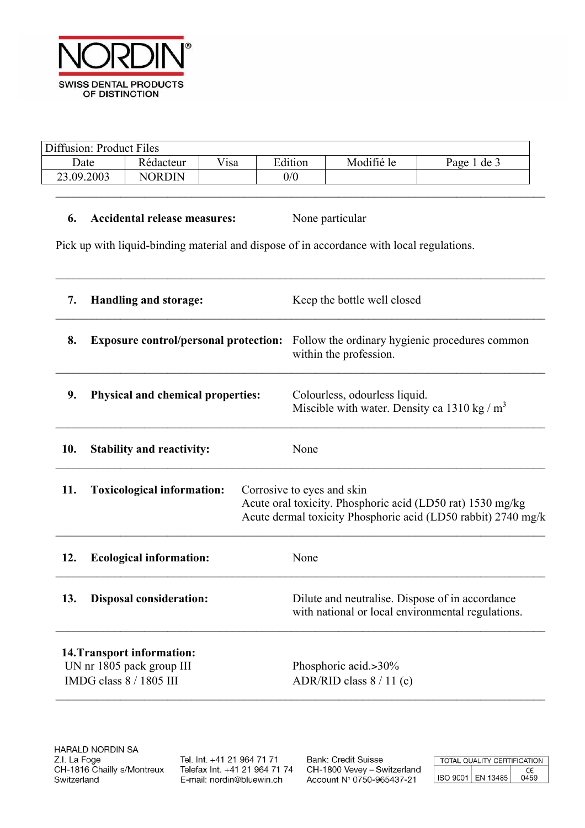

| Diffusion: Product Files |               |      |         |            |             |
|--------------------------|---------------|------|---------|------------|-------------|
| Date                     | Rédacteur     | Visa | Edition | Modifié le | Page 1 de 3 |
| 23.09.2003               | <b>NORDIN</b> |      | 0/0     |            |             |
|                          |               |      |         |            |             |

 $\mathcal{L}_\mathcal{L} = \{ \mathcal{L}_\mathcal{L} = \{ \mathcal{L}_\mathcal{L} = \{ \mathcal{L}_\mathcal{L} = \{ \mathcal{L}_\mathcal{L} = \{ \mathcal{L}_\mathcal{L} = \{ \mathcal{L}_\mathcal{L} = \{ \mathcal{L}_\mathcal{L} = \{ \mathcal{L}_\mathcal{L} = \{ \mathcal{L}_\mathcal{L} = \{ \mathcal{L}_\mathcal{L} = \{ \mathcal{L}_\mathcal{L} = \{ \mathcal{L}_\mathcal{L} = \{ \mathcal{L}_\mathcal{L} = \{ \mathcal{L}_\mathcal{$ 

#### **6. Accidental release measures:** None particular

Pick up with liquid-binding material and dispose of in accordance with local regulations.

| 7.                                                                                 | <b>Handling and storage:</b>                 | Keep the bottle well closed                                                                                                                               |  |  |
|------------------------------------------------------------------------------------|----------------------------------------------|-----------------------------------------------------------------------------------------------------------------------------------------------------------|--|--|
| 8.                                                                                 | <b>Exposure control/personal protection:</b> | Follow the ordinary hygienic procedures common<br>within the profession.                                                                                  |  |  |
| 9.                                                                                 | <b>Physical and chemical properties:</b>     | Colourless, odourless liquid.<br>Miscible with water. Density ca 1310 kg / $m3$                                                                           |  |  |
| 10.                                                                                | <b>Stability and reactivity:</b>             | None                                                                                                                                                      |  |  |
| 11.                                                                                | <b>Toxicological information:</b>            | Corrosive to eyes and skin<br>Acute oral toxicity. Phosphoric acid (LD50 rat) 1530 mg/kg<br>Acute dermal toxicity Phosphoric acid (LD50 rabbit) 2740 mg/k |  |  |
| 12.                                                                                | <b>Ecological information:</b>               | None                                                                                                                                                      |  |  |
| 13.                                                                                | <b>Disposal consideration:</b>               | Dilute and neutralise. Dispose of in accordance<br>with national or local environmental regulations.                                                      |  |  |
| 14. Transport information:<br>UN nr 1805 pack group III<br>IMDG class 8 / 1805 III |                                              | Phosphoric acid.>30%<br>ADR/RID class $8/11$ (c)                                                                                                          |  |  |

Tel. Int. +41 21 964 71 71 Telefax Int. +41 21 964 71 74 E-mail: nordin@bluewin.ch

**Bank: Credit Suisse** CH-1800 Vevey - Switzerland Account Nº 0750-965437-21

| TOTAL QUALITY CERTIFICATION |                   |      |
|-----------------------------|-------------------|------|
|                             |                   | CE   |
|                             | ISO 9001 EN 13485 | 0459 |